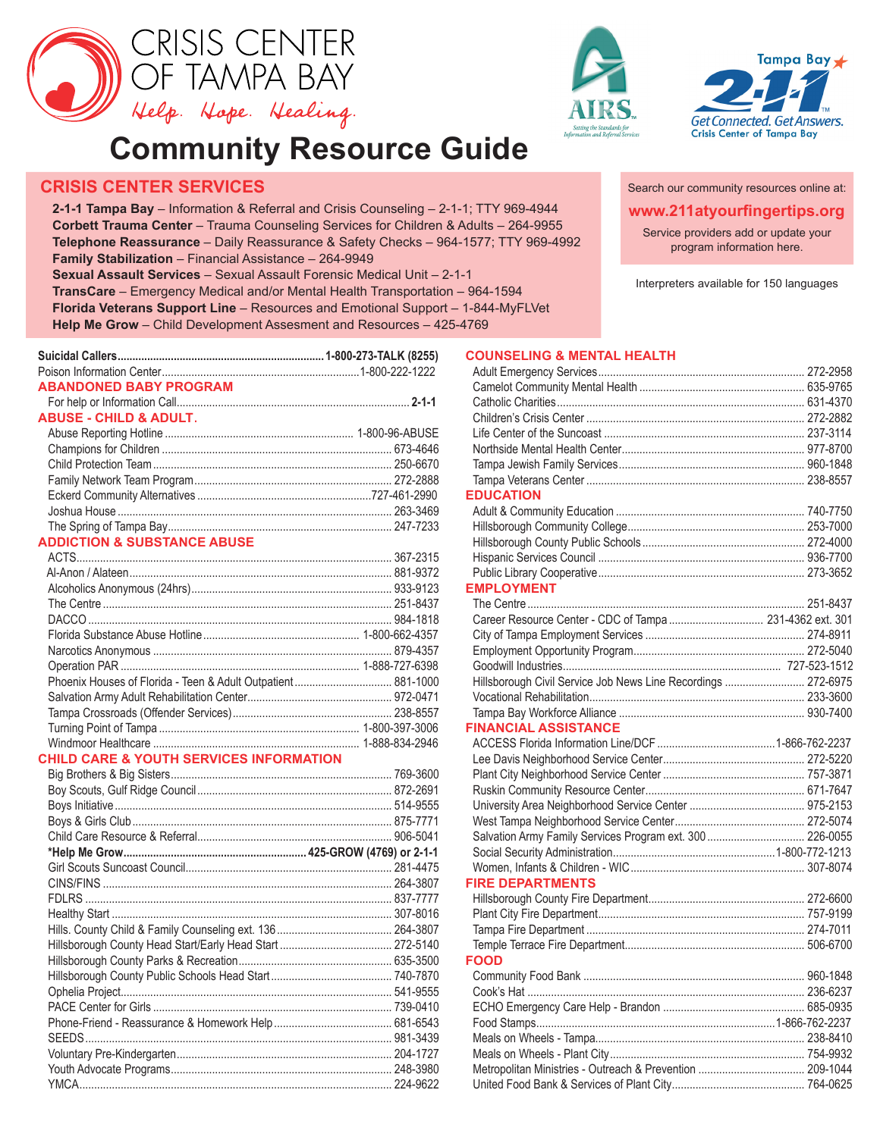





**www.211atyourfingertips.org** Search our community resources online at:

Service providers add or update your program information here.

Interpreters available for 150 languages

# **Community Resource Guide**

# **CRISIS CENTER SERVICES**

**2-1-1 Tampa Bay** – Information & Referral and Crisis Counseling – 2-1-1; TTY 969-4944 **Corbett Trauma Center** – Trauma Counseling Services for Children & Adults – 264-9955 **Telephone Reassurance** – Daily Reassurance & Safety Checks – 964-1577; TTY 969-4992 **Family Stabilization** – Financial Assistance – 264-9949

**Sexual Assault Services** – Sexual Assault Forensic Medical Unit – 2-1-1

**TransCare** – Emergency Medical and/or Mental Health Transportation – 964-1594 **Florida Veterans Support Line** – Resources and Emotional Support – 1-844-MyFLVet **Help Me Grow** – Child Development Assesment and Resources – 425-4769

| <b>ABANDONED BABY PROGRAM</b>                                |  |
|--------------------------------------------------------------|--|
|                                                              |  |
| <b>ABUSE - CHILD &amp; ADULT.</b>                            |  |
|                                                              |  |
|                                                              |  |
|                                                              |  |
|                                                              |  |
|                                                              |  |
|                                                              |  |
|                                                              |  |
| <b>ADDICTION &amp; SUBSTANCE ABUSE</b>                       |  |
|                                                              |  |
|                                                              |  |
|                                                              |  |
|                                                              |  |
|                                                              |  |
|                                                              |  |
|                                                              |  |
|                                                              |  |
| Phoenix Houses of Florida - Teen & Adult Outpatient 881-1000 |  |
|                                                              |  |
|                                                              |  |
|                                                              |  |
|                                                              |  |
| <b>CHILD CARE &amp; YOUTH SERVICES INFORMATION</b>           |  |
|                                                              |  |
|                                                              |  |
|                                                              |  |
|                                                              |  |
|                                                              |  |
|                                                              |  |
|                                                              |  |
|                                                              |  |
|                                                              |  |
|                                                              |  |
| Hille County Child & Family Counceling ovt 136               |  |

Hills. County Child & Family Counseling ext. 136....................................... 264-3807 Hillsborough County Head Start/Early Head Start ...................................... 272-5140 Hillsborough County Parks & Recreation.................................................... 635-3500 Hillsborough County Public Schools Head Start......................................... 740-7870 Ophelia Project............................................................................................ 541-9555 PACE Center for Girls ................................................................................. 739-0410 Phone-Friend - Reassurance & Homework Help........................................ 681-6543 SEEDS........................................................................................................ 981-3439 Voluntary Pre-Kindergarten......................................................................... 204-1727 Youth Advocate Programs........................................................................... 248-3980 YMCA.......................................................................................................... 224-9622

#### **COUNSELING & MENTAL HEALTH**

| <b>EDUCATION</b>                                              |  |
|---------------------------------------------------------------|--|
|                                                               |  |
|                                                               |  |
|                                                               |  |
|                                                               |  |
|                                                               |  |
| <b>EMPLOYMENT</b>                                             |  |
|                                                               |  |
|                                                               |  |
|                                                               |  |
|                                                               |  |
|                                                               |  |
| Hillsborough Civil Service Job News Line Recordings  272-6975 |  |
|                                                               |  |
|                                                               |  |
| <b>FINANCIAL ASSISTANCE</b>                                   |  |
|                                                               |  |
|                                                               |  |
|                                                               |  |
|                                                               |  |
|                                                               |  |
|                                                               |  |
|                                                               |  |
|                                                               |  |
|                                                               |  |
| <b>FIRE DEPARTMENTS</b>                                       |  |
|                                                               |  |
|                                                               |  |
|                                                               |  |
|                                                               |  |
| <b>FOOD</b>                                                   |  |
|                                                               |  |
|                                                               |  |
|                                                               |  |
|                                                               |  |
|                                                               |  |
|                                                               |  |
|                                                               |  |
|                                                               |  |